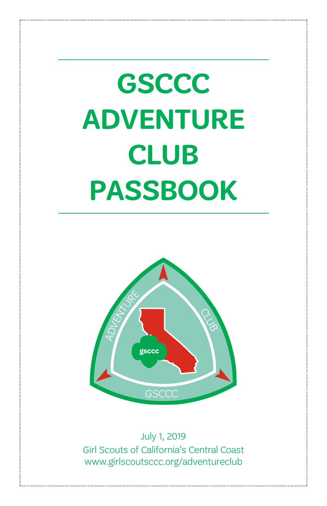# **GSCCC ADVENTURE CLUB PASSBOOK**



July 1, 2019 Girl Scouts of California's Central Coast www.girlscoutsccc.org/adventureclub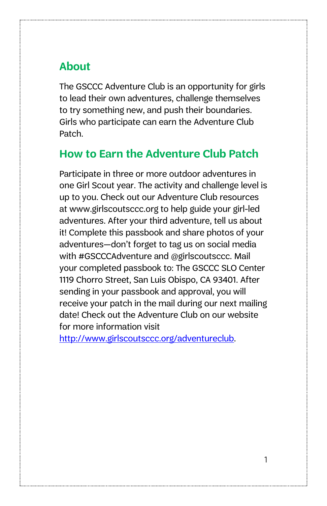### **About**

The GSCCC Adventure Club is an opportunity for girls to lead their own adventures, challenge themselves to try something new, and push their boundaries. Girls who participate can earn the Adventure Club Patch.

#### **How to Earn the Adventure Club Patch**

Participate in three or more outdoor adventures in one Girl Scout year. The activity and challenge level is up to you. Check out our Adventure Club resources at www.girlscoutsccc.org to help guide your girl-led adventures. After your third adventure, tell us about it! Complete this passbook and share photos of your adventures—don't forget to tag us on social media with #GSCCCAdventure and @girlscoutsccc. Mail your completed passbook to: The GSCCC SLO Center 1119 Chorro Street, San Luis Obispo, CA 93401. After sending in your passbook and approval, you will receive your patch in the mail during our next mailing date! Check out the Adventure Club on our website for more information visit

[http://www.girlscoutsccc.org/adventureclub.](http://www.girlscoutsccc.org/adventureclub)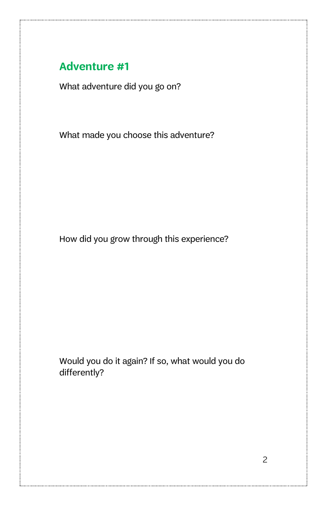#### **Adventure #1**

What adventure did you go on?

What made you choose this adventure?

How did you grow through this experience?

Would you do it again? If so, what would you do differently?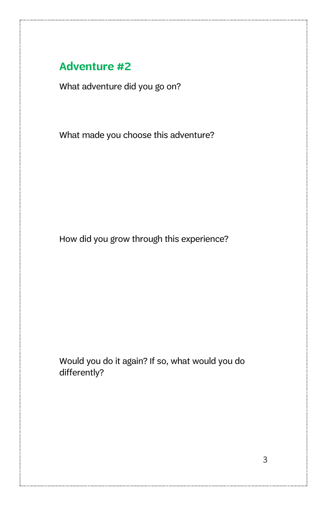#### **Adventure #2**

What adventure did you go on?

What made you choose this adventure?

How did you grow through this experience?

Would you do it again? If so, what would you do differently?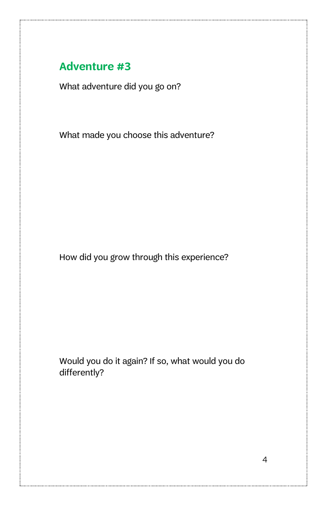#### **Adventure #3**

What adventure did you go on?

What made you choose this adventure?

How did you grow through this experience?

Would you do it again? If so, what would you do differently?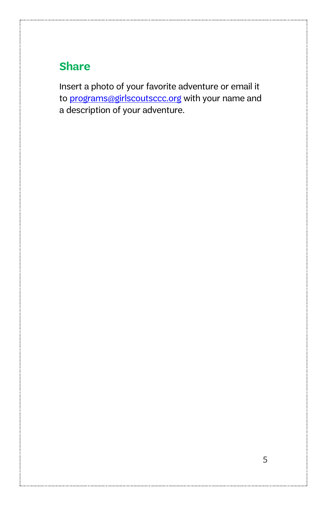## **Share**

Insert a photo of your favorite adventure or email it to [programs@girlscoutsccc.org](mailto:programs@girlscoutsccc.org) with your name and a description of your adventure.